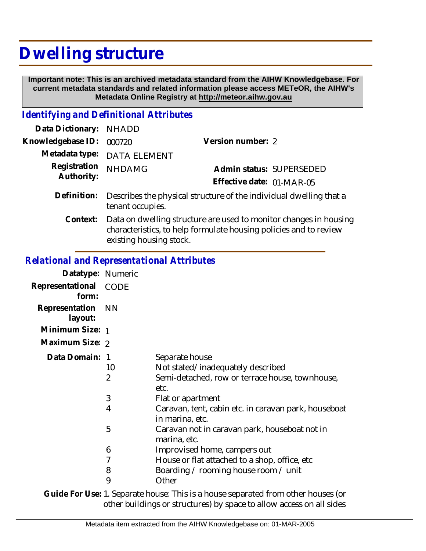## **Dwelling structure**

 **Important note: This is an archived metadata standard from the AIHW Knowledgebase. For current metadata standards and related information please access METeOR, the AIHW's Metadata Online Registry at http://meteor.aihw.gov.au**

## *Identifying and Definitional Attributes*

| Data Dictionary: NHADD     |                                                                                                                                                                   |                           |  |
|----------------------------|-------------------------------------------------------------------------------------------------------------------------------------------------------------------|---------------------------|--|
| Knowledgebase ID:          | 000720                                                                                                                                                            | Version number: 2         |  |
| Metadata type:             | <b>DATA ELEMENT</b>                                                                                                                                               |                           |  |
| Registration<br>Authority: | <b>NHDAMG</b>                                                                                                                                                     | Admin status: SUPERSEDED  |  |
|                            |                                                                                                                                                                   | Effective date: 01-MAR-05 |  |
| Definition:                | Describes the physical structure of the individual dwelling that a<br>tenant occupies.                                                                            |                           |  |
| Context:                   | Data on dwelling structure are used to monitor changes in housing<br>characteristics, to help formulate housing policies and to review<br>existing housing stock. |                           |  |

## *Relational and Representational Attributes*

| Datatype: Numeric              |                                |                                                                                                                                                                                                                |
|--------------------------------|--------------------------------|----------------------------------------------------------------------------------------------------------------------------------------------------------------------------------------------------------------|
| Representational CODE<br>form: |                                |                                                                                                                                                                                                                |
| Representation<br>layout:      | <b>NN</b>                      |                                                                                                                                                                                                                |
| Minimum Size: 1                |                                |                                                                                                                                                                                                                |
| Maximum Size: 2                |                                |                                                                                                                                                                                                                |
| Data Domain: 1                 | 10<br>$\overline{2}$<br>3<br>4 | Separate house<br>Not stated/inadequately described<br>Semi-detached, row or terrace house, townhouse,<br>etc.<br>Flat or apartment<br>Caravan, tent, cabin etc. in caravan park, houseboat<br>in marina, etc. |
|                                | 5                              | Caravan not in caravan park, houseboat not in<br>marina, etc.                                                                                                                                                  |
|                                | 6                              | Improvised home, campers out                                                                                                                                                                                   |
|                                | 7                              | House or flat attached to a shop, office, etc.                                                                                                                                                                 |
|                                | 8                              | Boarding / rooming house room / unit                                                                                                                                                                           |
|                                | 9                              | Other                                                                                                                                                                                                          |
|                                |                                |                                                                                                                                                                                                                |

Guide For Use: 1. Separate house: This is a house separated from other houses (or other buildings or structures) by space to allow access on all sides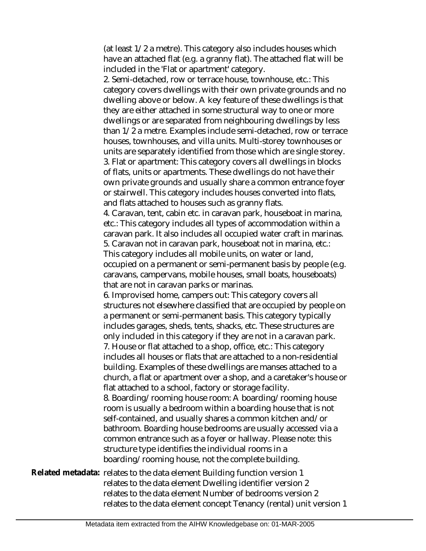(at least 1/2 a metre). This category also includes houses which have an attached flat (e.g. a granny flat). The attached flat will be included in the 'Flat or apartment' category.

2. Semi-detached, row or terrace house, townhouse, etc.: This category covers dwellings with their own private grounds and no dwelling above or below. A key feature of these dwellings is that they are either attached in some structural way to one or more dwellings or are separated from neighbouring dwellings by less than 1/2 a metre. Examples include semi-detached, row or terrace houses, townhouses, and villa units. Multi-storey townhouses or units are separately identified from those which are single storey. 3. Flat or apartment: This category covers all dwellings in blocks of flats, units or apartments. These dwellings do not have their own private grounds and usually share a common entrance foyer or stairwell. This category includes houses converted into flats, and flats attached to houses such as granny flats.

4. Caravan, tent, cabin etc. in caravan park, houseboat in marina, etc.: This category includes all types of accommodation within a caravan park. It also includes all occupied water craft in marinas. 5. Caravan not in caravan park, houseboat not in marina, etc.:

This category includes all mobile units, on water or land, occupied on a permanent or semi-permanent basis by people (e.g. caravans, campervans, mobile houses, small boats, houseboats) that are not in caravan parks or marinas.

6. Improvised home, campers out: This category covers all structures not elsewhere classified that are occupied by people on a permanent or semi-permanent basis. This category typically includes garages, sheds, tents, shacks, etc. These structures are only included in this category if they are not in a caravan park. 7. House or flat attached to a shop, office, etc.: This category

includes all houses or flats that are attached to a non-residential building. Examples of these dwellings are manses attached to a church, a flat or apartment over a shop, and a caretaker's house or flat attached to a school, factory or storage facility.

8. Boarding/rooming house room: A boarding/rooming house room is usually a bedroom within a boarding house that is not self-contained, and usually shares a common kitchen and/or bathroom. Boarding house bedrooms are usually accessed via a common entrance such as a foyer or hallway. Please note: this structure type identifies the individual rooms in a boarding/rooming house, not the complete building.

Related metadata: relates to the data element Building function version 1 relates to the data element Dwelling identifier version 2 relates to the data element Number of bedrooms version 2 relates to the data element concept Tenancy (rental) unit version 1